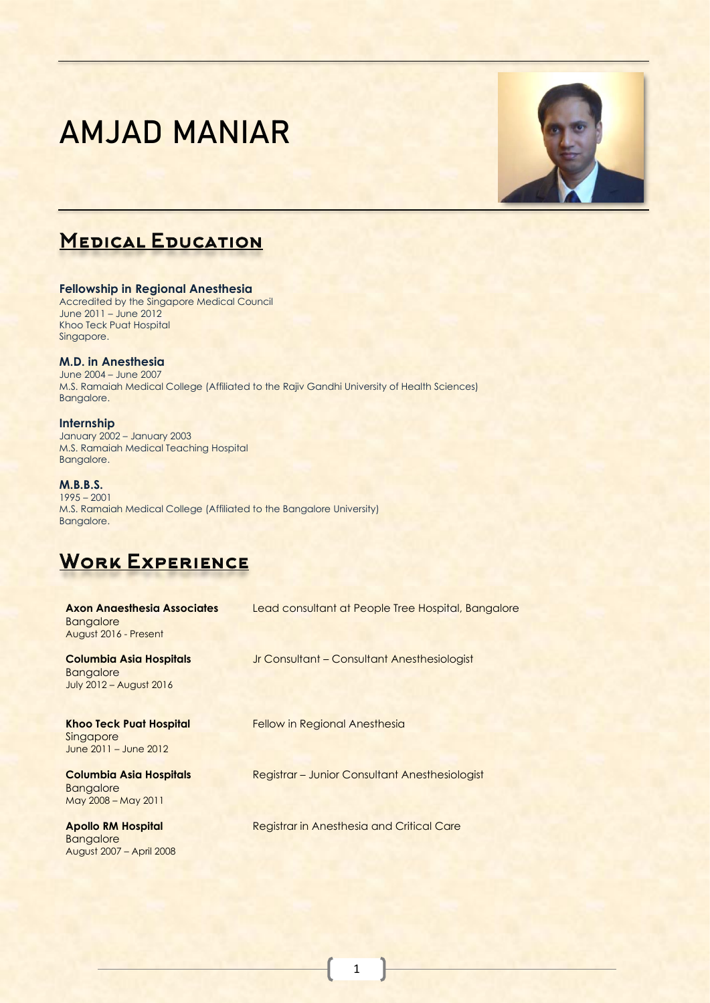# AMJAD MANIAR



# **MEDICAL EDUCATION**

#### **Fellowship in Regional Anesthesia**  Accredited by the Singapore Medical Council June 2011 – June 2012 Khoo Teck Puat Hospital Singapore.

#### **M.D. in Anesthesia**

June 2004 – June 2007 M.S. Ramaiah Medical College (Affiliated to the Rajiv Gandhi University of Health Sciences) Bangalore.

**Internship** January 2002 – January 2003 M.S. Ramaiah Medical Teaching Hospital Bangalore.

#### **M.B.B.S.**

1995 – 2001 M.S. Ramaiah Medical College (Affiliated to the Bangalore University) Bangalore.

# WORK EXPERIENCE

August 2007 – April 2008

| <b>Axon Angesthesia Associates</b><br><b>Bangalore</b><br>August 2016 - Present      | Lead consultant at People Tree Hospital, Bangalore |
|--------------------------------------------------------------------------------------|----------------------------------------------------|
| <b>Columbia Asia Hospitals</b><br><b>Bangalore</b><br><b>July 2012 - August 2016</b> | Jr Consultant - Consultant Anesthesiologist        |
| <b>Khoo Teck Puat Hospital</b><br>Singapore<br>June 2011 - June 2012                 | <b>Fellow in Regional Anesthesia</b>               |
| <b>Columbia Asia Hospitals</b><br><b>Bangalore</b><br>May 2008 - May 2011            | Registrar – Junior Consultant Anesthesiologist     |
| <b>Apollo RM Hospital</b><br><b>Bangalore</b>                                        | Registrar in Anesthesia and Critical Care          |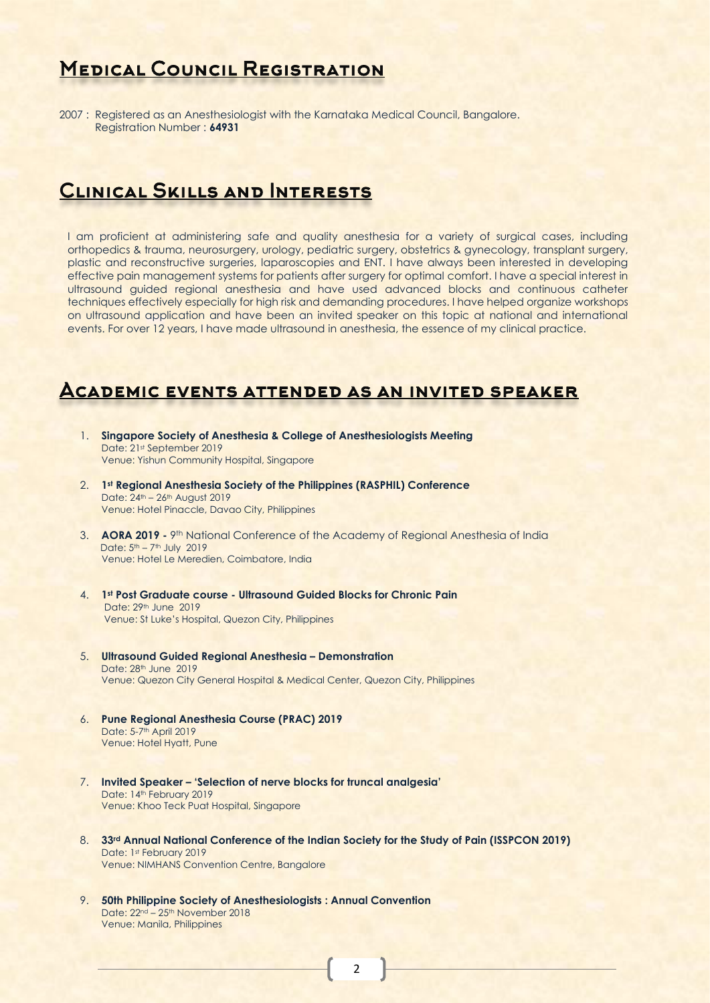## **MEDICAL COUNCIL REGISTRATION**

2007 : Registered as an Anesthesiologist with the Karnataka Medical Council, Bangalore. Registration Number : **64931**

## **CLINICAL SKILLS AND INTERESTS**

I am proficient at administering safe and quality anesthesia for a variety of surgical cases, including orthopedics & trauma, neurosurgery, urology, pediatric surgery, obstetrics & gynecology, transplant surgery, plastic and reconstructive surgeries, laparoscopies and ENT. I have always been interested in developing effective pain management systems for patients after surgery for optimal comfort. I have a special interest in ultrasound guided regional anesthesia and have used advanced blocks and continuous catheter techniques effectively especially for high risk and demanding procedures. I have helped organize workshops on ultrasound application and have been an invited speaker on this topic at national and international events. For over 12 years, I have made ultrasound in anesthesia, the essence of my clinical practice.

#### Academic events attended as an invited speaker

- 1. **Singapore Society of Anesthesia & College of Anesthesiologists Meeting** Date: 21st September 2019 Venue: Yishun Community Hospital, Singapore
- 2. **1 st Regional Anesthesia Society of the Philippines (RASPHIL) Conference** Date: 24<sup>th</sup> – 26<sup>th</sup> August 2019 Venue: Hotel Pinaccle, Davao City, Philippines
- 3. **AORA 2019 -** 9th National Conference of the Academy of Regional Anesthesia of India Date: 5<sup>th</sup> – 7<sup>th</sup> July 2019 Venue: Hotel Le Meredien, Coimbatore, India
- 4. **1st Post Graduate course - Ultrasound Guided Blocks for Chronic Pain** Date: 29th June 2019 Venue: St Luke's Hospital, Quezon City, Philippines
- 5. **Ultrasound Guided Regional Anesthesia – Demonstration** Date: 28th June 2019 Venue: Quezon City General Hospital & Medical Center, Quezon City, Philippines
- 6. **Pune Regional Anesthesia Course (PRAC) 2019** Date: 5-7<sup>th</sup> April 2019 Venue: Hotel Hyatt, Pune
- 7. **Invited Speaker – 'Selection of nerve blocks for truncal analgesia'** Date: 14<sup>th</sup> February 2019 Venue: Khoo Teck Puat Hospital, Singapore
- 8. **33rd Annual National Conference of the Indian Society for the Study of Pain (ISSPCON 2019)** Date: 1st February 2019 Venue: NIMHANS Convention Centre, Bangalore
- 9. **50th Philippine Society of Anesthesiologists : Annual Convention** Date: 22<sup>nd</sup> – 25<sup>th</sup> November 2018 Venue: Manila, Philippines

2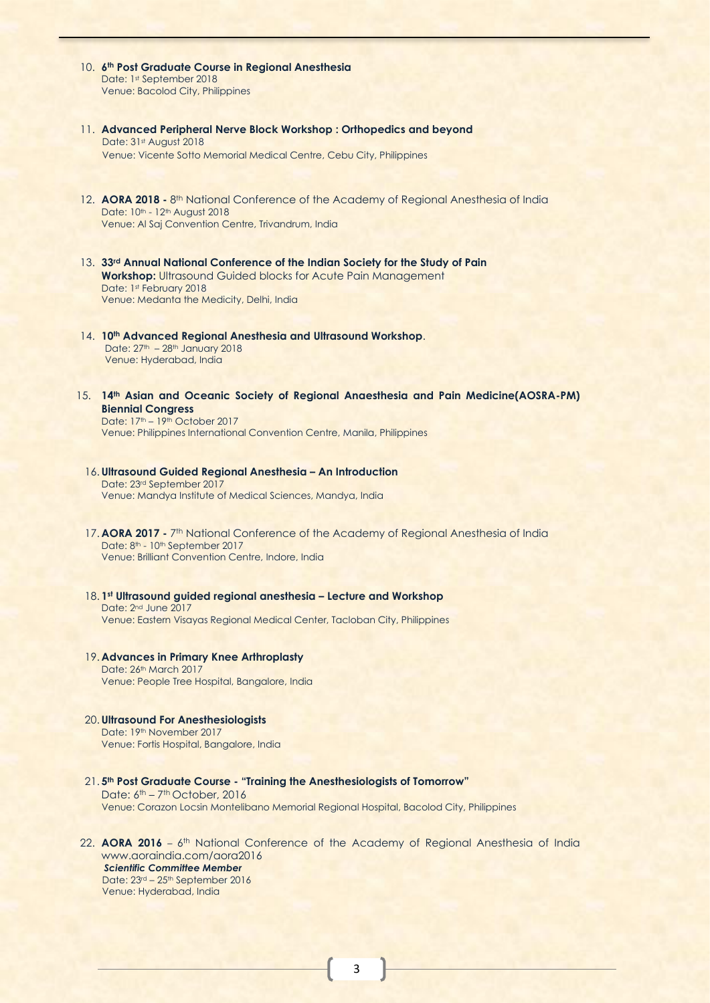- 10. **6 th Post Graduate Course in Regional Anesthesia** Date: 1st September 2018 Venue: Bacolod City, Philippines
- 11. **Advanced Peripheral Nerve Block Workshop : Orthopedics and beyond** Date: 31st August 2018 Venue: Vicente Sotto Memorial Medical Centre, Cebu City, Philippines
- 12. **AORA 2018 -** 8<sup>th</sup> National Conference of the Academy of Regional Anesthesia of India Date: 10<sup>th</sup> - 12<sup>th</sup> August 2018 Venue: Al Saj Convention Centre, Trivandrum, India
- 13. **33rd Annual National Conference of the Indian Society for the Study of Pain Workshop:** Ultrasound Guided blocks for Acute Pain Management Date: 1st February 2018 Venue: Medanta the Medicity, Delhi, India
- 14. **10th Advanced Regional Anesthesia and Ultrasound Workshop**. Date:  $27<sup>th</sup> - 28<sup>th</sup>$  January 2018 Venue: Hyderabad, India
- 15. **14th Asian and Oceanic Society of Regional Anaesthesia and Pain Medicine(AOSRA-PM) Biennial Congress** Date: 17<sup>th</sup> – 19<sup>th</sup> October 2017

Venue: Philippines International Convention Centre, Manila, Philippines

- 16. **Ultrasound Guided Regional Anesthesia – An Introduction** Date: 23rd September 2017 Venue: Mandya Institute of Medical Sciences, Mandya, India
- 17. **AORA 2017 -** 7<sup>th</sup> National Conference of the Academy of Regional Anesthesia of India Date: 8<sup>th</sup> - 10<sup>th</sup> September 2017 Venue: Brilliant Convention Centre, Indore, India
- 18. **1 st Ultrasound guided regional anesthesia – Lecture and Workshop** Date: 2nd June 2017 Venue: Eastern Visayas Regional Medical Center, Tacloban City, Philippines
- 19. **Advances in Primary Knee Arthroplasty** Date: 26<sup>th</sup> March 2017 Venue: People Tree Hospital, Bangalore, India
- 20. **Ultrasound For Anesthesiologists** Date: 19th November 2017 Venue: Fortis Hospital, Bangalore, India
- 21. **5 th Post Graduate Course - "Training the Anesthesiologists of Tomorrow"** Date: 6<sup>th</sup> – 7<sup>th</sup> October, 2016 Venue: Corazon Locsin Montelibano Memorial Regional Hospital, Bacolod City, Philippines
- 22. **AORA 2016** 6<sup>th</sup> National Conference of the Academy of Regional Anesthesia of India www.aoraindia.com/aora2016 *Scientific Committee Member* Date: 23rd – 25th September 2016 Venue: Hyderabad, India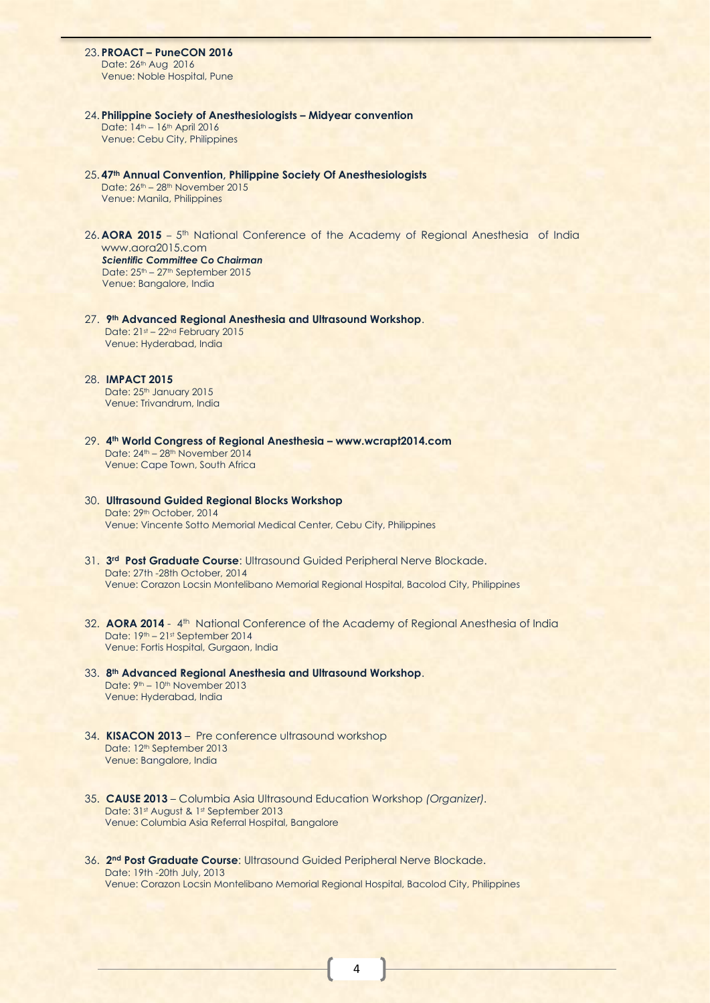23. **PROACT – PuneCON 2016**

Date: 26<sup>th</sup> Aug 2016 Venue: Noble Hospital, Pune

- 24. **Philippine Society of Anesthesiologists – Midyear convention** Date: 14th – 16th April 2016 Venue: Cebu City, Philippines
- 25. **47th Annual Convention, Philippine Society Of Anesthesiologists** Date: 26<sup>th</sup> – 28<sup>th</sup> November 2015 Venue: Manila, Philippines
- 26. AORA 2015 5<sup>th</sup> National Conference of the Academy of Regional Anesthesia of India www.aora2015.com *Scientific Committee Co Chairman* Date: 25<sup>th</sup> – 27<sup>th</sup> September 2015 Venue: Bangalore, India
- 27. **9 th Advanced Regional Anesthesia and Ultrasound Workshop**. Date: 21st - 22nd February 2015 Venue: Hyderabad, India
- 28. **IMPACT 2015** Date: 25<sup>th</sup> January 2015 Venue: Trivandrum, India
- 29. **4 th World Congress of Regional Anesthesia – www.wcrapt2014.com** Date: 24th – 28th November 2014 Venue: Cape Town, South Africa
- 30. **Ultrasound Guided Regional Blocks Workshop** Date: 29th October, 2014 Venue: Vincente Sotto Memorial Medical Center, Cebu City, Philippines
- 31. **3rd Post Graduate Course**: Ultrasound Guided Peripheral Nerve Blockade. Date: 27th -28th October, 2014 Venue: Corazon Locsin Montelibano Memorial Regional Hospital, Bacolod City, Philippines
- 32. AORA 2014 4<sup>th</sup> National Conference of the Academy of Regional Anesthesia of India Date: 19th – 21st September 2014 Venue: Fortis Hospital, Gurgaon, India
- 33. **8th Advanced Regional Anesthesia and Ultrasound Workshop**. Date: 9th – 10th November 2013 Venue: Hyderabad, India
- 34. **KISACON 2013** Pre conference ultrasound workshop Date: 12<sup>th</sup> September 2013 Venue: Bangalore, India
- 35. **CAUSE 2013** Columbia Asia Ultrasound Education Workshop *(Organizer).* Date: 31st August & 1st September 2013 Venue: Columbia Asia Referral Hospital, Bangalore
- 36. **2 nd Post Graduate Course**: Ultrasound Guided Peripheral Nerve Blockade. Date: 19th -20th July, 2013 Venue: Corazon Locsin Montelibano Memorial Regional Hospital, Bacolod City, Philippines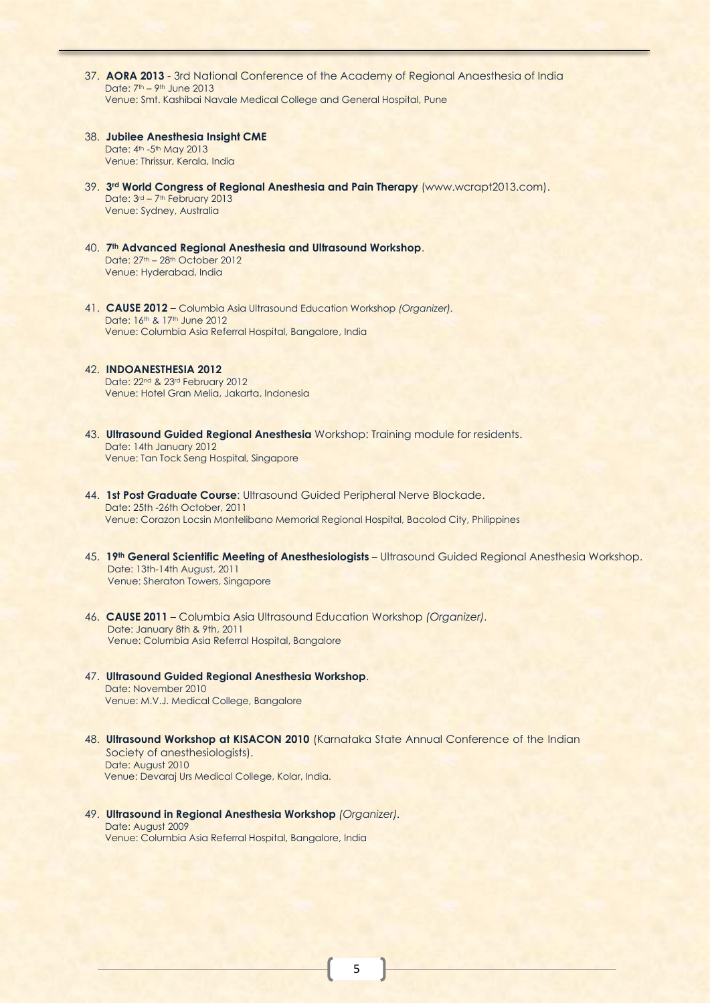- 37. **AORA 2013**  3rd National Conference of the Academy of Regional Anaesthesia of India Date: 7th – 9th June 2013 Venue: Smt. Kashibai Navale Medical College and General Hospital, Pune
- 38. **Jubilee Anesthesia Insight CME** Date: 4<sup>th</sup> -5<sup>th</sup> May 2013 Venue: Thrissur, Kerala, India
- 39. **3 rd World Congress of Regional Anesthesia and Pain Therapy** (www.wcrapt2013.com). Date: 3<sup>rd</sup> – 7<sup>th</sup> February 2013 Venue: Sydney, Australia
- 40. **7 th Advanced Regional Anesthesia and Ultrasound Workshop**. Date: 27th – 28th October 2012 Venue: Hyderabad, India
- 41. **CAUSE 2012** Columbia Asia Ultrasound Education Workshop *(Organizer).* Date: 16th & 17th June 2012 Venue: Columbia Asia Referral Hospital, Bangalore, India
- 42. **INDOANESTHESIA 2012** Date: 22<sup>nd</sup> & 23<sup>rd</sup> February 2012 Venue: Hotel Gran Melia, Jakarta, Indonesia
- 43. **Ultrasound Guided Regional Anesthesia** Workshop: Training module for residents. Date: 14th January 2012 Venue: Tan Tock Seng Hospital, Singapore
- 44. **1st Post Graduate Course**: Ultrasound Guided Peripheral Nerve Blockade. Date: 25th -26th October, 2011 Venue: Corazon Locsin Montelibano Memorial Regional Hospital, Bacolod City, Philippines
- 45. **19th General Scientific Meeting of Anesthesiologists** Ultrasound Guided Regional Anesthesia Workshop. Date: 13th-14th August, 2011 Venue: Sheraton Towers, Singapore
- 46. **CAUSE 2011** Columbia Asia Ultrasound Education Workshop *(Organizer).* Date: January 8th & 9th, 2011 Venue: Columbia Asia Referral Hospital, Bangalore
- 47. **Ultrasound Guided Regional Anesthesia Workshop**. Date: November 2010 Venue: M.V.J. Medical College, Bangalore
- 48. **Ultrasound Workshop at KISACON 2010** (Karnataka State Annual Conference of the Indian Society of anesthesiologists). Date: August 2010 Venue: Devaraj Urs Medical College, Kolar, India.
- 49. **Ultrasound in Regional Anesthesia Workshop** *(Organizer).* Date: August 2009 Venue: Columbia Asia Referral Hospital, Bangalore, India